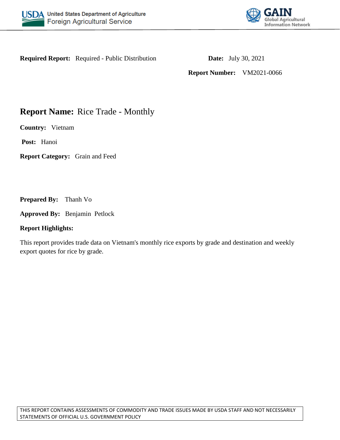



**Required Report:** Required - Public Distribution **Date:** July 30, 2021

**Report Number:** VM2021-0066

# **Report Name:** Rice Trade - Monthly

**Country:** Vietnam

**Post:** Hanoi

**Report Category:** Grain and Feed

**Prepared By:** Thanh Vo

**Approved By:** Benjamin Petlock

### **Report Highlights:**

This report provides trade data on Vietnam's monthly rice exports by grade and destination and weekly export quotes for rice by grade.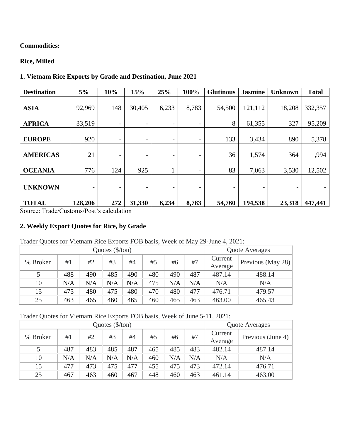# **Commodities:**

# **Rice, Milled**

## **1. Vietnam Rice Exports by Grade and Destination, June 2021**

| <b>Destination</b> | 5%                       | 10%                      | 15%                      | 25%                      | 100%                     | <b>Glutinous</b>         | <b>Jasmine</b> | <b>Unknown</b>           | <b>Total</b> |
|--------------------|--------------------------|--------------------------|--------------------------|--------------------------|--------------------------|--------------------------|----------------|--------------------------|--------------|
| <b>ASIA</b>        | 92,969                   | 148                      | 30,405                   | 6,233                    | 8,783                    | 54,500                   | 121,112        | 18,208                   | 332,357      |
| <b>AFRICA</b>      | 33,519                   | $\overline{\phantom{a}}$ | $\overline{\phantom{a}}$ | $\overline{\phantom{a}}$ | $\overline{\phantom{a}}$ | 8                        | 61,355         | 327                      | 95,209       |
| <b>EUROPE</b>      | 920                      | $\overline{\phantom{a}}$ | $\overline{\phantom{a}}$ | -                        | $\overline{\phantom{a}}$ | 133                      | 3,434          | 890                      | 5,378        |
| <b>AMERICAS</b>    | 21                       | $\overline{\phantom{a}}$ | $\overline{\phantom{a}}$ | -                        | $\overline{\phantom{a}}$ | 36                       | 1,574          | 364                      | 1,994        |
| <b>OCEANIA</b>     | 776                      | 124                      | 925                      |                          | $\overline{\phantom{a}}$ | 83                       | 7,063          | 3,530                    | 12,502       |
| <b>UNKNOWN</b>     | $\overline{\phantom{a}}$ | $\overline{\phantom{a}}$ | $\overline{\phantom{a}}$ | -                        | $\overline{\phantom{a}}$ | $\overline{\phantom{0}}$ | -              | $\overline{\phantom{a}}$ |              |
| <b>TOTAL</b>       | 128,206                  | 272                      | 31,330                   | 6,234                    | 8,783                    | 54,760                   | 194,538        | 23,318                   | 447,441      |

Source: Trade/Customs/Post's calculation

## **2. Weekly Export Quotes for Rice, by Grade**

|          |     | Quote Averages |     |     |     |     |     |         |                   |
|----------|-----|----------------|-----|-----|-----|-----|-----|---------|-------------------|
| % Broken | #1  | #2             | #3  | #4  | #5  | #6  | #7  | Current | Previous (May 28) |
|          |     |                |     |     |     |     |     | Average |                   |
|          | 488 | 490            | 485 | 490 | 480 | 490 | 487 | 487.14  | 488.14            |
| 10       | N/A | N/A            | N/A | N/A | 475 | N/A | N/A | N/A     | N/A               |
| 15       | 475 | 480            | 475 | 480 | 470 | 480 | 477 | 476.71  | 479.57            |
| 25       | 463 | 465            | 460 | 465 | 460 | 465 | 463 | 463.00  | 465.43            |

# Trader Quotes for Vietnam Rice Exports FOB basis, Week of June 5-11, 2021:

|          |     | Quote Averages |     |     |     |     |     |         |                   |
|----------|-----|----------------|-----|-----|-----|-----|-----|---------|-------------------|
| % Broken | #1  | #2             | #3  | #4  | #5  | #6  | #7  | Current | Previous (June 4) |
|          |     |                |     |     |     |     |     | Average |                   |
|          | 487 | 483            | 485 | 487 | 465 | 485 | 483 | 482.14  | 487.14            |
| 10       | N/A | N/A            | N/A | N/A | 460 | N/A | N/A | N/A     | N/A               |
| 15       | 477 | 473            | 475 | 477 | 455 | 475 | 473 | 472.14  | 476.71            |
| 25       | 467 | 463            | 460 | 467 | 448 | 460 | 463 | 461.14  | 463.00            |